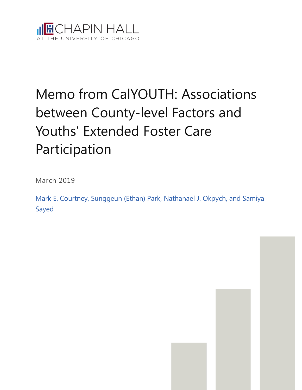

# Memo from CalYOUTH: Associations between County-level Factors and Youths' Extended Foster Care Participation

March 2019

Mark E. Courtney, Sunggeun (Ethan) Park, Nathanael J. Okpych, and Samiya Sayed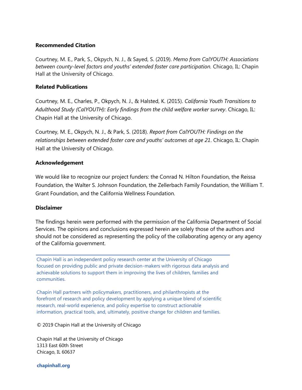#### **Recommended Citation**

Courtney, M. E., Park, S., Okpych, N. J., & Sayed, S. (2019). *Memo from CalYOUTH: Associations between county-level factors and youths' extended foster care participation.* Chicago, IL: Chapin Hall at the University of Chicago.

#### **Related Publications**

Courtney, M. E., Charles, P., Okpych, N. J., & Halsted, K. (2015). *California Youth Transitions to Adulthood Study (CalYOUTH): Early findings from the child welfare worker survey*. Chicago, IL: Chapin Hall at the University of Chicago.

Courtney, M. E., Okpych, N. J., & Park, S. (2018). *Report from CalYOUTH: Findings on the relationships between extended foster care and youths' outcomes at age 21*. Chicago, IL: Chapin Hall at the University of Chicago.

### **Acknowledgement**

We would like to recognize our project funders: the Conrad N. Hilton Foundation, the Reissa Foundation, the Walter S. Johnson Foundation, the Zellerbach Family Foundation, the William T. Grant Foundation, and the California Wellness Foundation.

#### **Disclaimer**

The findings herein were performed with the permission of the California Department of Social Services. The opinions and conclusions expressed herein are solely those of the authors and should not be considered as representing the policy of the collaborating agency or any agency of the California government.

Chapin Hall is an independent policy research center at the University of Chicago focused on providing public and private decision-makers with rigorous data analysis and achievable solutions to support them in improving the lives of children, families and communities.

Chapin Hall partners with policymakers, practitioners, and philanthropists at the forefront of research and policy development by applying a unique blend of scientific research, real-world experience, and policy expertise to construct actionable information, practical tools, and, ultimately, positive change for children and families.

© 2019 Chapin Hall at the University of Chicago

Chapin Hall at the University of Chicago 1313 East 60th Street Chicago, IL 60637

**chapinhall.org**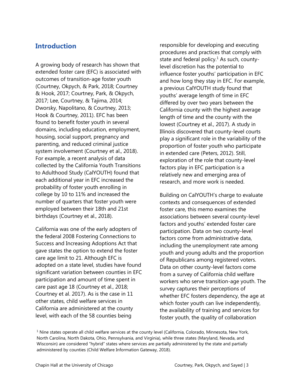# **Introduction**

A growing body of research has shown that extended foster care (EFC) is associated with outcomes of transition-age foster youth (Courtney, Okpych, & Park, 2018; Courtney & Hook, 2017; Courtney, Park, & Okpych, 2017; Lee, Courtney, & Tajima, 2014; Dworsky, Napolitano, & Courtney, 2013; Hook & Courtney, 2011). EFC has been found to benefit foster youth in several domains, including education, employment, housing, social support, pregnancy and parenting, and reduced criminal justice system involvement (Courtney et al., 2018). For example, a recent analysis of data collected by the California Youth Transitions to Adulthood Study (CalYOUTH) found that each additional year in EFC increased the probability of foster youth enrolling in college by 10 to 11% and increased the number of quarters that foster youth were employed between their 18th and 21st birthdays (Courtney et al., 2018).

California was one of the early adopters of the federal 2008 Fostering Connections to Success and Increasing Adoptions Act that gave states the option to extend the foster care age limit to 21. Although EFC is adopted on a state level, studies have found significant variation between counties in EFC participation and amount of time spent in care past age 18 (Courtney et al., 2018; Courtney et al. 2017). As is the case in 11 other states, child welfare services in California are administered at the county level, with each of the 58 counties being

responsible for developing and executing procedures and practices that comply with state and federal policy.<sup>1</sup> As such, countylevel discretion has the potential to influence foster youths' participation in EFC and how long they stay in EFC. For example, a previous CalYOUTH study found that youths' average length of time in EFC differed by over two years between the California county with the highest average length of time and the county with the lowest (Courtney et al., 2017). A study in Illinois discovered that county-level courts play a significant role in the variability of the proportion of foster youth who participate in extended care (Peters, 2012). Still, exploration of the role that county-level factors play in EFC participation is a relatively new and emerging area of research, and more work is needed.

Building on CalYOUTH's charge to evaluate contexts and consequences of extended foster care, this memo examines the associations between several county-level factors and youths' extended foster care participation. Data on two county-level factors come from administrative data, including the unemployment rate among youth and young adults and the proportion of Republicans among registered voters. Data on other county-level factors come from a survey of California child welfare workers who serve transition-age youth. The survey captures their perceptions of whether EFC fosters dependency, the age at which foster youth can live independently, the availability of training and services for foster youth, the quality of collaboration

 $1$  Nine states operate all child welfare services at the county level (California, Colorado, Minnesota, New York, North Carolina, North Dakota, Ohio, Pennsylvania, and Virginia), while three states (Maryland, Nevada, and Wisconsin) are considered "hybrid" states where services are partially administered by the state and partially administered by counties (Child Welfare Information Gateway, 2018).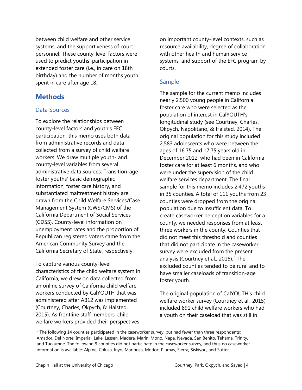between child welfare and other service systems, and the supportiveness of court personnel. These county-level factors were used to predict youths' participation in extended foster care (i.e., in care on 18th birthday) and the number of months youth spent in care after age 18.

# **Methods**

## Data Sources

To explore the relationships between county-level factors and youth's EFC participation, this memo uses both data from administrative records and data collected from a survey of child welfare workers. We draw multiple youth- and county-level variables from several administrative data sources. Transition-age foster youths' basic demographic information, foster care history, and substantiated maltreatment history are drawn from the Child Welfare Services/Case Management System (CWS/CMS) of the California Department of Social Services (CDSS). County-level information on unemployment rates and the proportion of Republican registered voters came from the American Community Survey and the California Secretary of State, respectively.

To capture various county-level characteristics of the child welfare system in California, we drew on data collected from an online survey of California child welfare workers conducted by CalYOUTH that was administered after AB12 was implemented (Courtney, Charles, Okpych, & Halsted, 2015). As frontline staff members, child welfare workers provided their perspectives

on important county-level contexts, such as resource availability, degree of collaboration with other health and human service systems, and support of the EFC program by courts.

## Sample

The sample for the current memo includes nearly 2,500 young people in California foster care who were selected as the population of interest in CalYOUTH's longitudinal study (see Courtney, Charles, Okpych, Napolitano, & Halsted, 2014). The original population for this study included 2,583 adolescents who were between the ages of 16.75 and 17.75 years old in December 2012, who had been in California foster care for at least 6 months, and who were under the supervision of the child welfare services department. The final sample for this memo includes 2,472 youths in 35 counties. A total of 111 youths from 23 counties were dropped from the original population due to insufficient data. To create caseworker perception variables for a county, we needed responses from at least three workers in the county. Counties that did not meet this threshold and counties that did not participate in the caseworker survey were excluded from the present analysis (Courtney et al., 2015). $^2$  The excluded counties tended to be rural and to have smaller caseloads of transition-age foster youth.

The original population of CalYOUTH's child welfare worker survey (Courtney et al., 2015) included 891 child welfare workers who had a youth on their caseload that was still in

 $2$  The following 14 counties participated in the caseworker survey, but had fewer than three respondents: Amador, Del Norte, Imperial, Lake, Lassen, Madera, Marin, Mono, Napa, Nevada, San Benito, Tehama, Trinity, and Tuolumne. The following 9 counties did not participate in the caseworker survey, and thus no caseworker information is available: Alpine, Colusa, Inyo, Mariposa, Modoc, Plumas, Sierra, Siskiyou, and Sutter.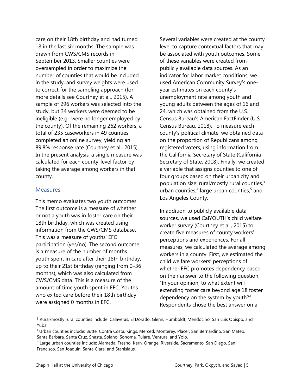care on their 18th birthday and had turned 18 in the last six months. The sample was drawn from CWS/CMS records in September 2013. Smaller counties were oversampled in order to maximize the number of counties that would be included in the study, and survey weights were used to correct for the sampling approach (for more details see Courtney et al., 2015). A sample of 296 workers was selected into the study, but 34 workers were deemed to be ineligible (e.g., were no longer employed by the county). Of the remaining 262 workers, a total of 235 caseworkers in 49 counties completed an online survey, yielding an 89.8% response rate (Courtney et al., 2015). In the present analysis, a single measure was calculated for each county-level factor by taking the average among workers in that county.

#### **Measures**

This memo evaluates two youth outcomes. The first outcome is a measure of whether or not a youth was in foster care on their 18th birthday, which was created using information from the CWS/CMS database. This was a measure of youths' EFC participation (yes/no). The second outcome is a measure of the number of months youth spent in care after their 18th birthday, up to their 21st birthday (ranging from 0–36 months), which was also calculated from CWS/CMS data. This is a measure of the amount of time youth spent in EFC. Youths who exited care before their 18th birthday were assigned 0 months in EFC.

Several variables were created at the county level to capture contextual factors that may be associated with youth outcomes. Some of these variables were created from publicly available data sources. As an indicator for labor market conditions, we used American Community Survey's oneyear estimates on each county's unemployment rate among youth and young adults between the ages of 16 and 24, which was obtained from the U.S. Census Bureau's American FactFinder (U.S. Census Bureau, 2018). To measure each county's political climate, we obtained data on the proportion of Republicans among registered voters, using information from the California Secretary of State (California Secretary of State, 2018). Finally, we created a variable that assigns counties to one of four groups based on their urbanicity and population size: rural/mostly rural counties, $3$ urban counties,<sup>4</sup> large urban counties,<sup>5</sup> and Los Angeles County.

In addition to publicly available data sources, we used CalYOUTH's child welfare worker survey (Courtney et al., 2015) to create five measures of county workers' perceptions and experiences. For all measures, we calculated the average among workers in a county. First, we estimated the child welfare workers' perceptions of whether EFC promotes dependency based on their answer to the following question: "In your opinion, to what extent will extending foster care beyond age 18 foster dependency on the system by youth?" Respondents chose the best answer on a

<sup>3</sup> Rural/mostly rural counties include: Calaveras, El Dorado, Glenn, Humboldt, Mendocino, San Luis Obispo, and Yuba.

<sup>4</sup>Urban counties include: Butte, Contra Costa, Kings, Merced, Monterey, Placer, San Bernardino, San Mateo, Santa Barbara, Santa Cruz, Shasta, Solano, Sonoma, Tulare, Ventura, and Yolo.

<sup>5</sup> Large urban counties include: Alameda, Fresno, Kern, Orange, Riverside, Sacramento, San Diego, San Francisco, San Joaquin, Santa Clara, and Stanislaus.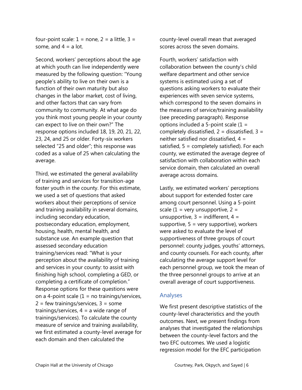four-point scale:  $1 =$  none,  $2 =$  a little,  $3 =$ some, and  $4 = a$  lot.

Second, workers' perceptions about the age at which youth can live independently were measured by the following question: "Young people's ability to live on their own is a function of their own maturity but also changes in the labor market, cost of living, and other factors that can vary from community to community. At what age do you think most young people in your county can expect to live on their own?" The response options included 18, 19, 20, 21, 22, 23, 24, and 25 or older. Forty-six workers selected "25 and older"; this response was coded as a value of 25 when calculating the average.

Third, we estimated the general availability of training and services for transition-age foster youth in the county. For this estimate, we used a set of questions that asked workers about their perceptions of service and training availability in several domains, including secondary education, postsecondary education, employment, housing, health, mental health, and substance use. An example question that assessed secondary education training/services read: "What is your perception about the availability of training and services in your county: to assist with finishing high school, completing a GED, or completing a certificate of completion." Response options for these questions were on a 4-point scale  $(1 = no training/s$ ervices,  $2 = few training/s$ ervices,  $3 = some$ trainings/services,  $4 = a$  wide range of trainings/services). To calculate the county measure of service and training availability, we first estimated a county-level average for each domain and then calculated the

county-level overall mean that averaged scores across the seven domains.

Fourth, workers' satisfaction with collaboration between the county's child welfare department and other service systems is estimated using a set of questions asking workers to evaluate their experiences with seven service systems, which correspond to the seven domains in the measures of service/training availability (see preceding paragraph). Response options included a 5-point scale  $(1 =$ completely dissatisfied,  $2 =$  dissatisfied,  $3 =$ neither satisfied nor dissatisfied,  $4 =$ satisfied,  $5 =$  completely satisfied). For each county, we estimated the average degree of satisfaction with collaboration within each service domain, then calculated an overall average across domains.

Lastly, we estimated workers' perceptions about support for extended foster care among court personnel. Using a 5-point scale  $(1 = \text{very unsupportive}, 2 =$ unsupportive,  $3 =$  indifferent,  $4 =$ supportive,  $5 = \text{very supportive}$ , workers were asked to evaluate the level of supportiveness of three groups of court personnel: county judges, youths' attorneys, and county counsels. For each county, after calculating the average support level for each personnel group, we took the mean of the three personnel groups to arrive at an overall average of court supportiveness.

### Analyses

We first present descriptive statistics of the county-level characteristics and the youth outcomes. Next, we present findings from analyses that investigated the relationships between the county-level factors and the two EFC outcomes. We used a logistic regression model for the EFC participation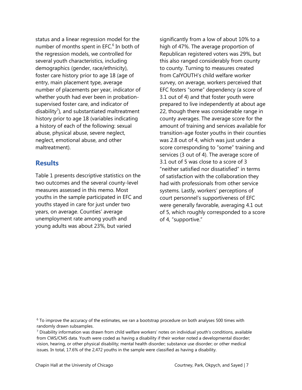status and a linear regression model for the number of months spent in EFC.<sup>6</sup> In both of the regression models, we controlled for several youth characteristics, including demographics (gender, race/ethnicity), foster care history prior to age 18 (age of entry, main placement type, average number of placements per year, indicator of whether youth had ever been in probationsupervised foster care, and indicator of disability<sup>7</sup>), and substantiated maltreatment history prior to age 18 (variables indicating a history of each of the following: sexual abuse, physical abuse, severe neglect, neglect, emotional abuse, and other maltreatment).

# **Results**

Table 1 presents descriptive statistics on the two outcomes and the several county-level measures assessed in this memo. Most youths in the sample participated in EFC and youths stayed in care for just under two years, on average. Counties' average unemployment rate among youth and young adults was about 23%, but varied

significantly from a low of about 10% to a high of 47%. The average proportion of Republican registered voters was 29%, but this also ranged considerably from county to county. Turning to measures created from CalYOUTH's child welfare worker survey, on average, workers perceived that EFC fosters "some" dependency (a score of 3.1 out of 4) and that foster youth were prepared to live independently at about age 22, though there was considerable range in county averages. The average score for the amount of training and services available for transition-age foster youths in their counties was 2.8 out of 4, which was just under a score corresponding to "some" training and services (3 out of 4). The average score of 3.1 out of 5 was close to a score of 3 "neither satisfied nor dissatisfied" in terms of satisfaction with the collaboration they had with professionals from other service systems. Lastly, workers' perceptions of court personnel's supportiveness of EFC were generally favorable, averaging 4.1 out of 5, which roughly corresponded to a score of 4, "supportive."

<sup>6</sup> To improve the accuracy of the estimates, we ran a bootstrap procedure on both analyses 500 times with randomly drawn subsamples.

<sup>7</sup> Disability information was drawn from child welfare workers' notes on individual youth's conditions, available from CWS/CMS data. Youth were coded as having a disability if their worker noted a developmental disorder; vision, hearing, or other physical disability; mental health disorder; substance use disorder; or other medical issues. In total, 17.6% of the 2,472 youths in the sample were classified as having a disability.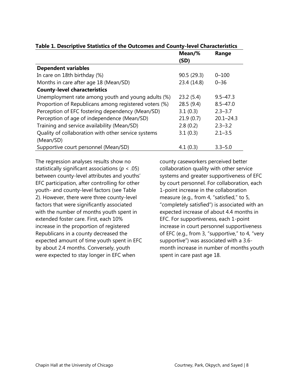|                                                       | Mean/%      | Range         |
|-------------------------------------------------------|-------------|---------------|
|                                                       | (SD)        |               |
| <b>Dependent variables</b>                            |             |               |
| In care on 18th birthday (%)                          | 90.5 (29.3) | $0 - 100$     |
| Months in care after age 18 (Mean/SD)                 | 23.4 (14.8) | $0 - 36$      |
| <b>County-level characteristics</b>                   |             |               |
| Unemployment rate among youth and young adults (%)    | 23.2(5.4)   | $9.5 - 47.3$  |
| Proportion of Republicans among registered voters (%) | 28.5(9.4)   | $8.5 - 47.0$  |
| Perception of EFC fostering dependency (Mean/SD)      | 3.1(0.3)    | $2.3 - 3.7$   |
| Perception of age of independence (Mean/SD)           | 21.9(0.7)   | $20.1 - 24.3$ |
| Training and service availability (Mean/SD)           | 2.8(0.2)    | $2.3 - 3.2$   |
| Quality of collaboration with other service systems   | 3.1(0.3)    | $2.1 - 3.5$   |
| (Mean/SD)                                             |             |               |
| Supportive court personnel (Mean/SD)                  | 4.1(0.3)    | $3.3 - 5.0$   |

## **Table 1. Descriptive Statistics of the Outcomes and County-level Characteristics**

The regression analyses results show no statistically significant associations (*p* < .05) between county-level attributes and youths' EFC participation, after controlling for other youth- and county-level factors (see Table 2). However, there were three county-level factors that were significantly associated with the number of months youth spent in extended foster care. First, each 10% increase in the proportion of registered Republicans in a county decreased the expected amount of time youth spent in EFC by about 2.4 months. Conversely, youth were expected to stay longer in EFC when

county caseworkers perceived better collaboration quality with other service systems and greater supportiveness of EFC by court personnel. For collaboration, each 1-point increase in the collaboration measure (e.g., from 4, "satisfied," to 5, "completely satisfied") is associated with an expected increase of about 4.4 months in EFC. For supportiveness, each 1-point increase in court personnel supportiveness of EFC (e.g., from 3, "supportive," to 4, "very supportive") was associated with a 3.6 month increase in number of months youth spent in care past age 18.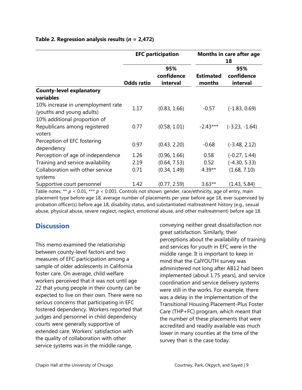|                                                                | <b>EFC participation</b> |                               | <b>Months in care after age</b><br>18 |                               |
|----------------------------------------------------------------|--------------------------|-------------------------------|---------------------------------------|-------------------------------|
|                                                                | <b>Odds ratio</b>        | 95%<br>confidence<br>interval | <b>Estimated</b><br>months            | 95%<br>confidence<br>interval |
| <b>County-level explanatory</b>                                |                          |                               |                                       |                               |
| variables                                                      |                          |                               |                                       |                               |
| 10% increase in unemployment rate<br>(youths and young adults) | 1.17                     | (0.83, 1.66)                  | $-0.57$                               | $(-1.83, 0.69)$               |
| 10% additional proportion of                                   |                          |                               |                                       |                               |
| Republicans among registered<br>voters                         | 0.77                     | (0.58, 1.01)                  | $-2.43***$                            | $(-3.23, -1.64)$              |
| Perception of EFC fostering<br>dependency                      | 0.97                     | (0.43, 2.20)                  | $-0.68$                               | $(-3.48, 2.12)$               |
| Perception of age of independence                              | 1.26                     | (0.96, 1.66)                  | 0.58                                  | $(-0.27, 1.44)$               |
| Training and service availability                              | 2.19                     | (0.64, 7.53)                  | 0.52                                  | $(-4.30, 5.33)$               |
| Collaboration with other service                               | 0.71                     | (0.34, 1.49)                  | $4.39**$                              | (1.68, 7.10)                  |
| systems<br>Supportive court personnel                          | 1.42                     | (0.77, 2.59)                  | $3.63**$                              | (1.43, 5.84)                  |

## **Table 2. Regression analysis results (***n* **= 2,472)**

Table notes: \*\*  $p$  < 0.01, \*\*\*  $p$  < 0.001. Controls not shown: gender, race/ethnicity, age of entry, main placement type before age 18, average number of placements per year before age 18, ever supervised by probation officer(s) before age 18, disability status, and substantiated maltreatment history (e.g., sexual abuse, physical abuse, severe neglect, neglect, emotional abuse, and other maltreatment) before age 18.

# **Discussion**

This memo examined the relationship between county-level factors and two measures of EFC participation among a sample of older adolescents in California foster care. On average, child welfare workers perceived that it was not until age 22 that young people in their county can be expected to live on their own. There were no serious concerns that participating in EFC fostered dependency. Workers reported that judges and personnel in child dependency courts were generally supportive of extended care. Workers' satisfaction with the quality of collaboration with other service systems was in the middle range,

conveying neither great dissatisfaction nor great satisfaction. Similarly, their perceptions about the availability of training and services for youth in EFC were in the middle range. It is important to keep in mind that the CalYOUTH survey was administered not long after AB12 had been implemented (about 1.75 years), and service coordination and service delivery systems were still in the works. For example, there was a delay in the implementation of the Transitional Housing Placement-Plus Foster Care (THP+FC) program, which meant that the number of these placements that were accredited and readily available was much lower in many counties at the time of the survey than is the case today.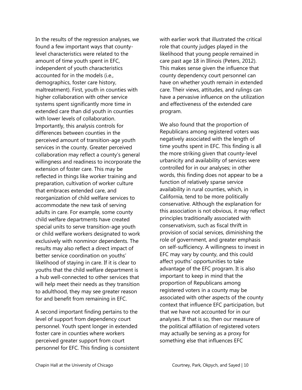In the results of the regression analyses, we found a few important ways that countylevel characteristics were related to the amount of time youth spent in EFC, independent of youth characteristics accounted for in the models (i.e., demographics, foster care history, maltreatment). First, youth in counties with higher collaboration with other service systems spent significantly more time in extended care than did youth in counties with lower levels of collaboration. Importantly, this analysis controls for differences between counties in the perceived amount of transition-age youth services in the county. Greater perceived collaboration may reflect a county's general willingness and readiness to incorporate the extension of foster care. This may be reflected in things like worker training and preparation, cultivation of worker culture that embraces extended care, and reorganization of child welfare services to accommodate the new task of serving adults in care. For example, some county child welfare departments have created special units to serve transition-age youth or child welfare workers designated to work exclusively with nonminor dependents. The results may also reflect a direct impact of better service coordination on youths' likelihood of staying in care. If it is clear to youths that the child welfare department is a hub well-connected to other services that will help meet their needs as they transition to adulthood, they may see greater reason for and benefit from remaining in EFC.

A second important finding pertains to the level of support from dependency court personnel. Youth spent longer in extended foster care in counties where workers perceived greater support from court personnel for EFC. This finding is consistent with earlier work that illustrated the critical role that county judges played in the likelihood that young people remained in care past age 18 in Illinois (Peters, 2012). This makes sense given the influence that county dependency court personnel can have on whether youth remain in extended care. Their views, attitudes, and rulings can have a pervasive influence on the utilization and effectiveness of the extended care program.

We also found that the proportion of Republicans among registered voters was negatively associated with the length of time youths spent in EFC. This finding is all the more striking given that county-level urbanicity and availability of services were controlled for in our analyses; in other words, this finding does not appear to be a function of relatively sparse service availability in rural counties, which, in California, tend to be more politically conservative. Although the explanation for this association is not obvious, it may reflect principles traditionally associated with conservativism, such as fiscal thrift in provision of social services, diminishing the role of government, and greater emphasis on self-sufficiency. A willingness to invest in EFC may vary by county, and this could affect youths' opportunities to take advantage of the EFC program. It is also important to keep in mind that the proportion of Republicans among registered voters in a county may be associated with other aspects of the county context that influence EFC participation, but that we have not accounted for in our analyses. If that is so, then our measure of the political affiliation of registered voters may actually be serving as a proxy for something else that influences EFC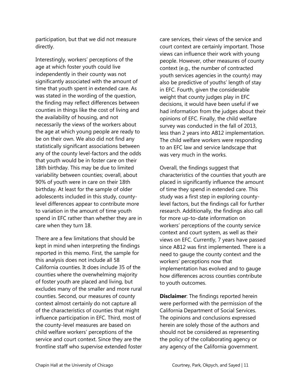participation, but that we did not measure directly.

Interestingly, workers' perceptions of the age at which foster youth could live independently in their county was not significantly associated with the amount of time that youth spent in extended care. As was stated in the wording of the question, the finding may reflect differences between counties in things like the cost of living and the availability of housing, and not necessarily the views of the workers about the age at which young people are ready to be on their own. We also did not find any statistically significant associations between any of the county level-factors and the odds that youth would be in foster care on their 18th birthday. This may be due to limited variability between counties; overall, about 90% of youth were in care on their 18th birthday. At least for the sample of older adolescents included in this study, countylevel differences appear to contribute more to variation in the amount of time youth spend in EFC rather than whether they are in care when they turn 18.

There are a few limitations that should be kept in mind when interpreting the findings reported in this memo. First, the sample for this analysis does not include all 58 California counties. It does include 35 of the counties where the overwhelming majority of foster youth are placed and living, but excludes many of the smaller and more rural counties. Second, our measures of county context almost certainly do not capture all of the characteristics of counties that might influence participation in EFC. Third, most of the county-level measures are based on child welfare workers' perceptions of the service and court context. Since they are the frontline staff who supervise extended foster care services, their views of the service and court context are certainly important. Those views can influence their work with young people. However, other measures of county context (e.g., the number of contracted youth services agencies in the county) may also be predictive of youths' length of stay in EFC. Fourth, given the considerable weight that county judges play in EFC decisions, it would have been useful if we had information from the judges about their opinions of EFC. Finally, the child welfare survey was conducted in the fall of 2013, less than 2 years into AB12 implementation. The child welfare workers were responding to an EFC law and service landscape that was very much in the works.

Overall, the findings suggest that characteristics of the counties that youth are placed in significantly influence the amount of time they spend in extended care. This study was a first step in exploring countylevel factors, but the findings call for further research. Additionally, the findings also call for more up-to-date information on workers' perceptions of the county service context and court system, as well as their views on EFC. Currently, 7 years have passed since AB12 was first implemented. There is a need to gauge the county context and the workers' perceptions now that implementation has evolved and to gauge how differences across counties contribute to youth outcomes.

**Disclaimer**: The findings reported herein were performed with the permission of the California Department of Social Services. The opinions and conclusions expressed herein are solely those of the authors and should not be considered as representing the policy of the collaborating agency or any agency of the California government.